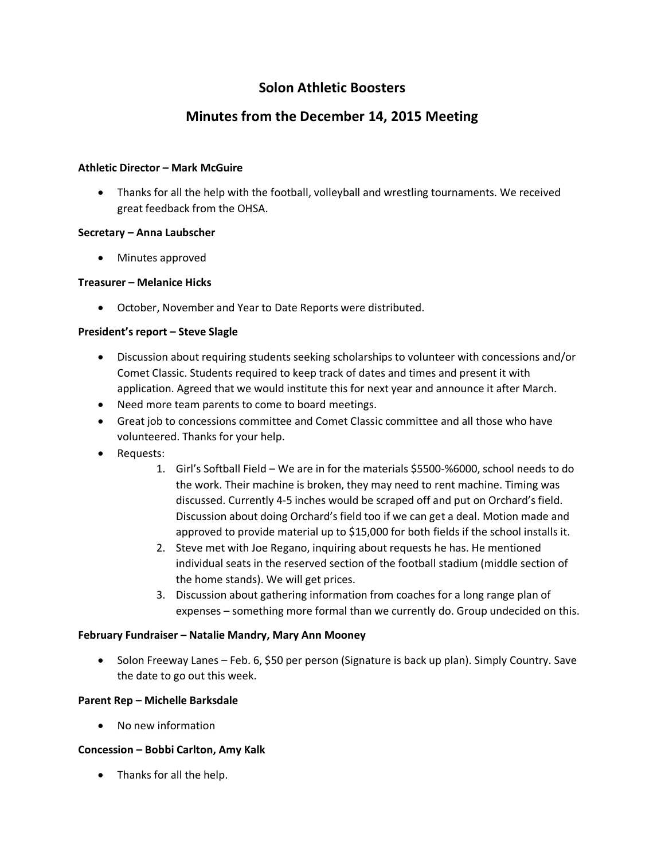## **Solon Athletic Boosters**

# **Minutes from the December 14, 2015 Meeting**

#### **Athletic Director – Mark McGuire**

 Thanks for all the help with the football, volleyball and wrestling tournaments. We received great feedback from the OHSA.

#### **Secretary – Anna Laubscher**

Minutes approved

## **Treasurer – Melanice Hicks**

October, November and Year to Date Reports were distributed.

## **President's report – Steve Slagle**

- Discussion about requiring students seeking scholarships to volunteer with concessions and/or Comet Classic. Students required to keep track of dates and times and present it with application. Agreed that we would institute this for next year and announce it after March.
- Need more team parents to come to board meetings.
- Great job to concessions committee and Comet Classic committee and all those who have volunteered. Thanks for your help.
- Requests:
	- 1. Girl's Softball Field We are in for the materials \$5500-%6000, school needs to do the work. Their machine is broken, they may need to rent machine. Timing was discussed. Currently 4-5 inches would be scraped off and put on Orchard's field. Discussion about doing Orchard's field too if we can get a deal. Motion made and approved to provide material up to \$15,000 for both fields if the school installs it.
	- 2. Steve met with Joe Regano, inquiring about requests he has. He mentioned individual seats in the reserved section of the football stadium (middle section of the home stands). We will get prices.
	- 3. Discussion about gathering information from coaches for a long range plan of expenses – something more formal than we currently do. Group undecided on this.

#### **February Fundraiser – Natalie Mandry, Mary Ann Mooney**

• Solon Freeway Lanes – Feb. 6, \$50 per person (Signature is back up plan). Simply Country. Save the date to go out this week.

#### **Parent Rep – Michelle Barksdale**

• No new information

## **Concession – Bobbi Carlton, Amy Kalk**

• Thanks for all the help.